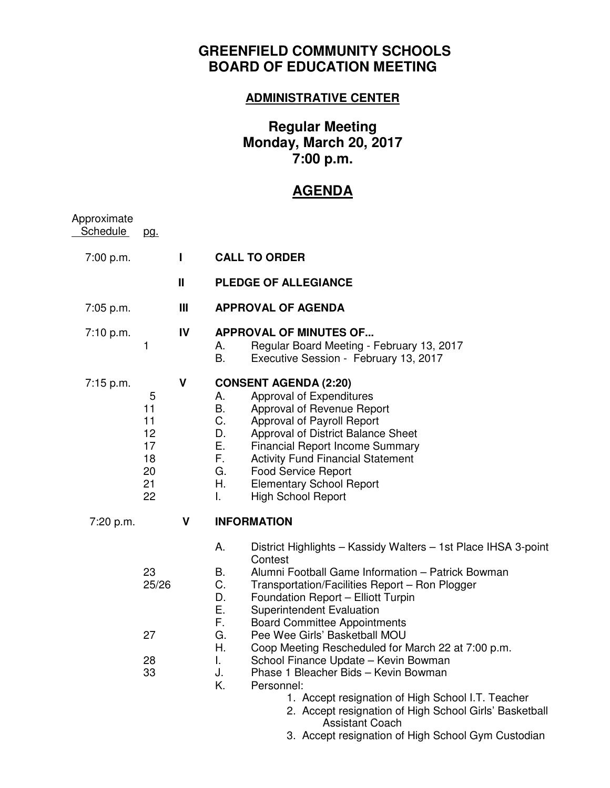# **GREENFIELD COMMUNITY SCHOOLS BOARD OF EDUCATION MEETING**

## **ADMINISTRATIVE CENTER**

# **Regular Meeting Monday, March 20, 2017 7:00 p.m.**

# **AGENDA**

| Approximate<br>Schedule | <u>pg.</u>                                        |    |                                                                                                                                                                                                                                                                                                                                                                                                                                                                                                                                                                                                                                                                                                                                                         |
|-------------------------|---------------------------------------------------|----|---------------------------------------------------------------------------------------------------------------------------------------------------------------------------------------------------------------------------------------------------------------------------------------------------------------------------------------------------------------------------------------------------------------------------------------------------------------------------------------------------------------------------------------------------------------------------------------------------------------------------------------------------------------------------------------------------------------------------------------------------------|
| 7:00 p.m.               |                                                   | L  | <b>CALL TO ORDER</b>                                                                                                                                                                                                                                                                                                                                                                                                                                                                                                                                                                                                                                                                                                                                    |
|                         |                                                   | Ш  | <b>PLEDGE OF ALLEGIANCE</b>                                                                                                                                                                                                                                                                                                                                                                                                                                                                                                                                                                                                                                                                                                                             |
| $7:05$ p.m.             |                                                   | Ш  | <b>APPROVAL OF AGENDA</b>                                                                                                                                                                                                                                                                                                                                                                                                                                                                                                                                                                                                                                                                                                                               |
| 7:10 p.m.               | 1                                                 | IV | <b>APPROVAL OF MINUTES OF</b><br>Regular Board Meeting - February 13, 2017<br>А.<br>В.<br>Executive Session - February 13, 2017                                                                                                                                                                                                                                                                                                                                                                                                                                                                                                                                                                                                                         |
| 7:15 p.m.               | 5<br>11<br>11<br>12<br>17<br>18<br>20<br>21<br>22 | V  | <b>CONSENT AGENDA (2:20)</b><br>Approval of Expenditures<br>А.<br>В.<br>Approval of Revenue Report<br>C.<br>Approval of Payroll Report<br>D.<br>Approval of District Balance Sheet<br>Е.<br><b>Financial Report Income Summary</b><br>F.<br><b>Activity Fund Financial Statement</b><br>G.<br><b>Food Service Report</b><br>Η.<br><b>Elementary School Report</b><br><b>High School Report</b><br>I.                                                                                                                                                                                                                                                                                                                                                    |
| 7:20 p.m.               |                                                   | V  | <b>INFORMATION</b>                                                                                                                                                                                                                                                                                                                                                                                                                                                                                                                                                                                                                                                                                                                                      |
|                         | 23<br>25/26<br>27<br>28<br>33                     |    | А.<br>District Highlights - Kassidy Walters - 1st Place IHSA 3-point<br>Contest<br>Alumni Football Game Information - Patrick Bowman<br>В.<br>C.<br>Transportation/Facilities Report - Ron Plogger<br>D.<br>Foundation Report - Elliott Turpin<br>Е.<br><b>Superintendent Evaluation</b><br>F.<br><b>Board Committee Appointments</b><br>Pee Wee Girls' Basketball MOU<br>G.<br>Η.<br>Coop Meeting Rescheduled for March 22 at 7:00 p.m.<br>School Finance Update - Kevin Bowman<br>I.<br>Phase 1 Bleacher Bids - Kevin Bowman<br>J.<br>K.<br>Personnel:<br>1. Accept resignation of High School I.T. Teacher<br>2. Accept resignation of High School Girls' Basketball<br><b>Assistant Coach</b><br>3. Accept resignation of High School Gym Custodian |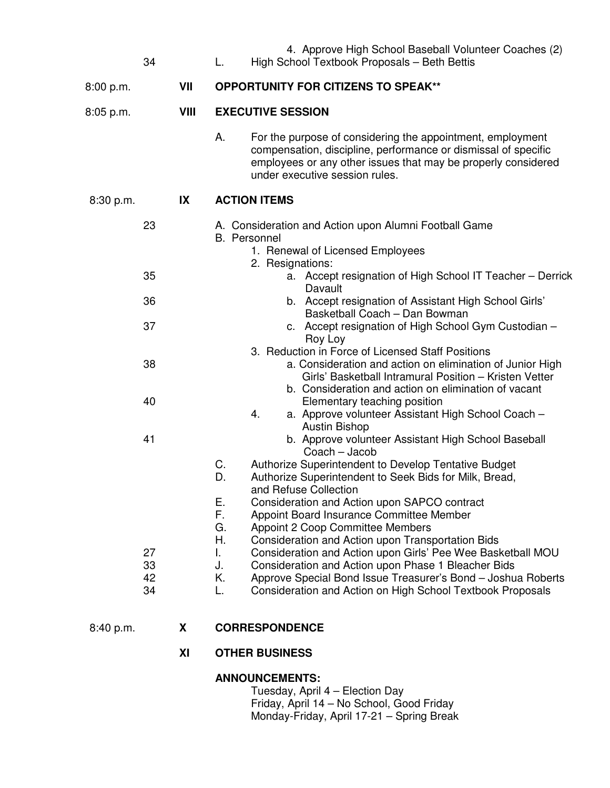| 34                   |      | 4. Approve High School Baseball Volunteer Coaches (2)<br>High School Textbook Proposals - Beth Bettis<br>L.                                                                                                                                                                                                                                                                                                                                                                                                                                                                                                                                  |
|----------------------|------|----------------------------------------------------------------------------------------------------------------------------------------------------------------------------------------------------------------------------------------------------------------------------------------------------------------------------------------------------------------------------------------------------------------------------------------------------------------------------------------------------------------------------------------------------------------------------------------------------------------------------------------------|
| 8:00 p.m.            | VII  | <b>OPPORTUNITY FOR CITIZENS TO SPEAK**</b>                                                                                                                                                                                                                                                                                                                                                                                                                                                                                                                                                                                                   |
| $8:05$ p.m.          | VIII | <b>EXECUTIVE SESSION</b>                                                                                                                                                                                                                                                                                                                                                                                                                                                                                                                                                                                                                     |
|                      |      | А.<br>For the purpose of considering the appointment, employment<br>compensation, discipline, performance or dismissal of specific<br>employees or any other issues that may be properly considered<br>under executive session rules.                                                                                                                                                                                                                                                                                                                                                                                                        |
| 8:30 p.m.            | IX   | <b>ACTION ITEMS</b>                                                                                                                                                                                                                                                                                                                                                                                                                                                                                                                                                                                                                          |
| 23                   |      | A. Consideration and Action upon Alumni Football Game<br><b>B.</b> Personnel<br>1. Renewal of Licensed Employees                                                                                                                                                                                                                                                                                                                                                                                                                                                                                                                             |
| 35                   |      | 2. Resignations:<br>a. Accept resignation of High School IT Teacher - Derrick<br>Davault                                                                                                                                                                                                                                                                                                                                                                                                                                                                                                                                                     |
| 36                   |      | b. Accept resignation of Assistant High School Girls'<br>Basketball Coach - Dan Bowman                                                                                                                                                                                                                                                                                                                                                                                                                                                                                                                                                       |
| 37                   |      | c. Accept resignation of High School Gym Custodian -<br>Roy Loy                                                                                                                                                                                                                                                                                                                                                                                                                                                                                                                                                                              |
| 38                   |      | 3. Reduction in Force of Licensed Staff Positions<br>a. Consideration and action on elimination of Junior High<br>Girls' Basketball Intramural Position - Kristen Vetter<br>b. Consideration and action on elimination of vacant                                                                                                                                                                                                                                                                                                                                                                                                             |
| 40                   |      | Elementary teaching position<br>a. Approve volunteer Assistant High School Coach -<br>4.                                                                                                                                                                                                                                                                                                                                                                                                                                                                                                                                                     |
| 41                   |      | <b>Austin Bishop</b><br>b. Approve volunteer Assistant High School Baseball<br>Coach - Jacob                                                                                                                                                                                                                                                                                                                                                                                                                                                                                                                                                 |
| 27<br>33<br>42<br>34 |      | C.<br>Authorize Superintendent to Develop Tentative Budget<br>D.<br>Authorize Superintendent to Seek Bids for Milk, Bread,<br>and Refuse Collection<br>Е.<br>Consideration and Action upon SAPCO contract<br>F.<br>Appoint Board Insurance Committee Member<br>G.<br>Appoint 2 Coop Committee Members<br>Η.<br>Consideration and Action upon Transportation Bids<br>Consideration and Action upon Girls' Pee Wee Basketball MOU<br>L.<br>J.<br>Consideration and Action upon Phase 1 Bleacher Bids<br>Approve Special Bond Issue Treasurer's Bond - Joshua Roberts<br>Κ.<br>L.<br>Consideration and Action on High School Textbook Proposals |
| 8:40 p.m.            | X    | <b>CORRESPONDENCE</b>                                                                                                                                                                                                                                                                                                                                                                                                                                                                                                                                                                                                                        |
|                      | XI   | <b>OTHER BUSINESS</b>                                                                                                                                                                                                                                                                                                                                                                                                                                                                                                                                                                                                                        |

### **ANNOUNCEMENTS:**

Tuesday, April 4 – Election Day Friday, April 14 – No School, Good Friday Monday-Friday, April 17-21 – Spring Break